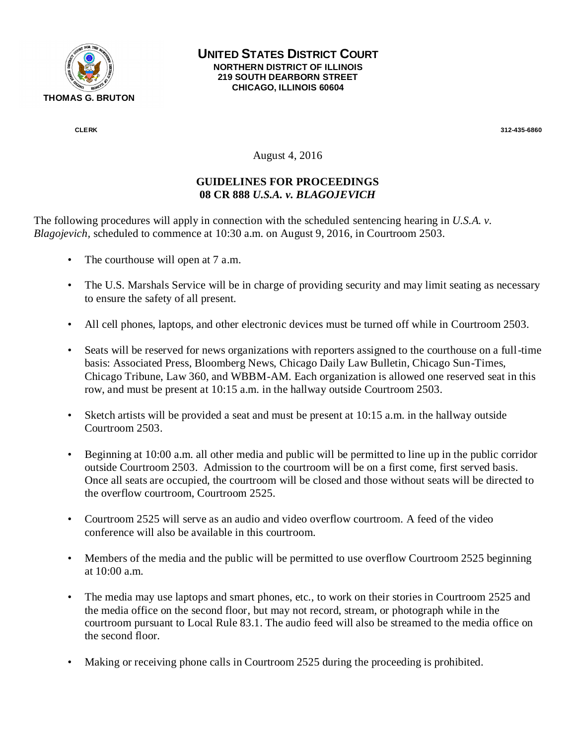

## **UNITED STATES DISTRICT COURT NORTHERN DISTRICT OF ILLINOIS 219 SOUTH DEARBORN STREET CHICAGO, ILLINOIS 60604**

 **CLERK 312-435-6860** 

August 4, 2016

## **GUIDELINES FOR PROCEEDINGS 08 CR 888** *U.S.A. v. BLAGOJEVICH*

The following procedures will apply in connection with the scheduled sentencing hearing in *U.S.A. v. Blagojevich,* scheduled to commence at 10:30 a.m. on August 9, 2016, in Courtroom 2503.

- The courthouse will open at 7 a.m.
- The U.S. Marshals Service will be in charge of providing security and may limit seating as necessary to ensure the safety of all present.
- All cell phones, laptops, and other electronic devices must be turned off while in Courtroom 2503.
- Seats will be reserved for news organizations with reporters assigned to the courthouse on a full-time basis: Associated Press, Bloomberg News, Chicago Daily Law Bulletin, Chicago Sun-Times, Chicago Tribune, Law 360, and WBBM-AM. Each organization is allowed one reserved seat in this row, and must be present at 10:15 a.m. in the hallway outside Courtroom 2503.
- Sketch artists will be provided a seat and must be present at 10:15 a.m. in the hallway outside Courtroom 2503.
- Beginning at 10:00 a.m. all other media and public will be permitted to line up in the public corridor outside Courtroom 2503. Admission to the courtroom will be on a first come, first served basis. Once all seats are occupied, the courtroom will be closed and those without seats will be directed to the overflow courtroom, Courtroom 2525.
- Courtroom 2525 will serve as an audio and video overflow courtroom. A feed of the video conference will also be available in this courtroom.
- Members of the media and the public will be permitted to use overflow Courtroom 2525 beginning at 10:00 a.m.
- The media may use laptops and smart phones, etc., to work on their stories in Courtroom 2525 and the media office on the second floor, but may not record, stream, or photograph while in the courtroom pursuant to Local Rule 83.1. The audio feed will also be streamed to the media office on the second floor.
- Making or receiving phone calls in Courtroom 2525 during the proceeding is prohibited.